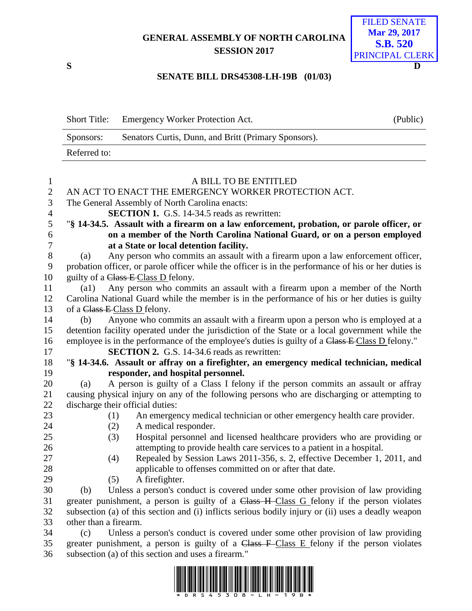## **GENERAL ASSEMBLY OF NORTH CAROLINA SESSION 2017**



## **SENATE BILL DRS45308-LH-19B (01/03)**

|              | Short Title: Emergency Worker Protection Act.        | (Public) |
|--------------|------------------------------------------------------|----------|
| Sponsors:    | Senators Curtis, Dunn, and Britt (Primary Sponsors). |          |
| Referred to: |                                                      |          |
|              |                                                      |          |

| $\mathbf{1}$   | A BILL TO BE ENTITLED                                                                                |  |  |  |
|----------------|------------------------------------------------------------------------------------------------------|--|--|--|
| $\mathbf{2}$   | AN ACT TO ENACT THE EMERGENCY WORKER PROTECTION ACT.                                                 |  |  |  |
| 3              | The General Assembly of North Carolina enacts:                                                       |  |  |  |
| $\overline{4}$ | <b>SECTION 1.</b> G.S. 14-34.5 reads as rewritten:                                                   |  |  |  |
| 5              | "§ 14-34.5. Assault with a firearm on a law enforcement, probation, or parole officer, or            |  |  |  |
| $\epsilon$     | on a member of the North Carolina National Guard, or on a person employed                            |  |  |  |
| $\overline{7}$ | at a State or local detention facility.                                                              |  |  |  |
| $8\,$          | Any person who commits an assault with a firearm upon a law enforcement officer,<br>(a)              |  |  |  |
| 9              | probation officer, or parole officer while the officer is in the performance of his or her duties is |  |  |  |
| 10             | guilty of a Class E-Class D felony.                                                                  |  |  |  |
| 11             | Any person who commits an assault with a firearm upon a member of the North<br>$\left( a1\right)$    |  |  |  |
| 12             | Carolina National Guard while the member is in the performance of his or her duties is guilty        |  |  |  |
| 13             | of a Class E-Class D felony.                                                                         |  |  |  |
| 14             | Anyone who commits an assault with a firearm upon a person who is employed at a<br>(b)               |  |  |  |
| 15             | detention facility operated under the jurisdiction of the State or a local government while the      |  |  |  |
| 16             | employee is in the performance of the employee's duties is guilty of a Class E Class D felony."      |  |  |  |
| 17             | <b>SECTION 2.</b> G.S. 14-34.6 reads as rewritten:                                                   |  |  |  |
| 18             | "§ 14-34.6. Assault or affray on a firefighter, an emergency medical technician, medical             |  |  |  |
| 19             | responder, and hospital personnel.                                                                   |  |  |  |
| 20             | A person is guilty of a Class I felony if the person commits an assault or affray<br>(a)             |  |  |  |
| 21             | causing physical injury on any of the following persons who are discharging or attempting to         |  |  |  |
| 22             | discharge their official duties:                                                                     |  |  |  |
| 23             | An emergency medical technician or other emergency health care provider.<br>(1)                      |  |  |  |
| 24             | A medical responder.<br>(2)                                                                          |  |  |  |
| 25             | Hospital personnel and licensed healthcare providers who are providing or<br>(3)                     |  |  |  |
| 26             | attempting to provide health care services to a patient in a hospital.                               |  |  |  |
| 27             | Repealed by Session Laws 2011-356, s. 2, effective December 1, 2011, and<br>(4)                      |  |  |  |
| 28             | applicable to offenses committed on or after that date.                                              |  |  |  |
| 29             | A firefighter.<br>(5)                                                                                |  |  |  |
| 30             | Unless a person's conduct is covered under some other provision of law providing<br>(b)              |  |  |  |
| 31             | greater punishment, a person is guilty of a Class H Class G felony if the person violates            |  |  |  |
| 32             | subsection (a) of this section and (i) inflicts serious bodily injury or (ii) uses a deadly weapon   |  |  |  |
| 33             | other than a firearm.                                                                                |  |  |  |
| 34             | Unless a person's conduct is covered under some other provision of law providing<br>(c)              |  |  |  |
| 35             | greater punishment, a person is guilty of a Class $F$ -Class $E$ felony if the person violates       |  |  |  |
| 36             | subsection (a) of this section and uses a firearm."                                                  |  |  |  |

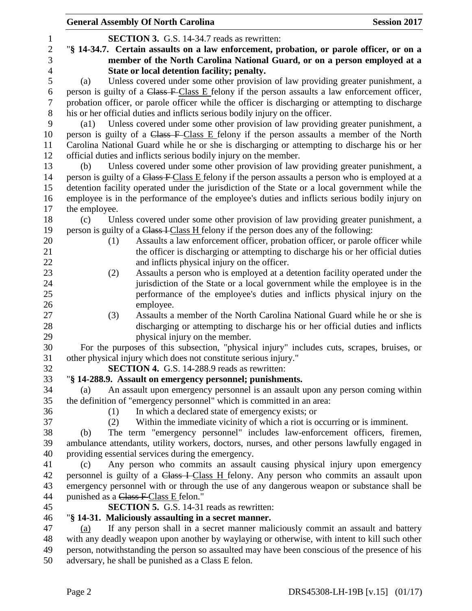|                | <b>Session 2017</b><br><b>General Assembly Of North Carolina</b>                                       |  |  |  |  |
|----------------|--------------------------------------------------------------------------------------------------------|--|--|--|--|
| $\mathbf{1}$   | <b>SECTION 3.</b> G.S. 14-34.7 reads as rewritten:                                                     |  |  |  |  |
| $\overline{2}$ | "§ 14-34.7. Certain assaults on a law enforcement, probation, or parole officer, or on a               |  |  |  |  |
| $\mathfrak{Z}$ | member of the North Carolina National Guard, or on a person employed at a                              |  |  |  |  |
| $\overline{4}$ | State or local detention facility; penalty.                                                            |  |  |  |  |
| 5              | Unless covered under some other provision of law providing greater punishment, a<br>(a)                |  |  |  |  |
| 6              | person is guilty of a Class F-Class E felony if the person assaults a law enforcement officer,         |  |  |  |  |
| 7              | probation officer, or parole officer while the officer is discharging or attempting to discharge       |  |  |  |  |
| $8\,$          | his or her official duties and inflicts serious bodily injury on the officer.                          |  |  |  |  |
| 9              | Unless covered under some other provision of law providing greater punishment, a<br>$\left( a1\right)$ |  |  |  |  |
| 10             | person is guilty of a Class F-Class E felony if the person assaults a member of the North              |  |  |  |  |
| 11             | Carolina National Guard while he or she is discharging or attempting to discharge his or her           |  |  |  |  |
| 12             | official duties and inflicts serious bodily injury on the member.                                      |  |  |  |  |
| 13             | Unless covered under some other provision of law providing greater punishment, a<br>(b)                |  |  |  |  |
| 14             | person is guilty of a Class F Class E felony if the person assaults a person who is employed at a      |  |  |  |  |
| 15             | detention facility operated under the jurisdiction of the State or a local government while the        |  |  |  |  |
| 16             | employee is in the performance of the employee's duties and inflicts serious bodily injury on          |  |  |  |  |
| 17             | the employee.                                                                                          |  |  |  |  |
| 18             | Unless covered under some other provision of law providing greater punishment, a<br>(c)                |  |  |  |  |
| 19             | person is guilty of a Class I Class H felony if the person does any of the following:                  |  |  |  |  |
| 20             | Assaults a law enforcement officer, probation officer, or parole officer while<br>(1)                  |  |  |  |  |
| 21             | the officer is discharging or attempting to discharge his or her official duties                       |  |  |  |  |
| 22             | and inflicts physical injury on the officer.                                                           |  |  |  |  |
| 23             | Assaults a person who is employed at a detention facility operated under the<br>(2)                    |  |  |  |  |
| 24             | jurisdiction of the State or a local government while the employee is in the                           |  |  |  |  |
| 25             | performance of the employee's duties and inflicts physical injury on the                               |  |  |  |  |
| 26             | employee.                                                                                              |  |  |  |  |
| 27             | Assaults a member of the North Carolina National Guard while he or she is<br>(3)                       |  |  |  |  |
| 28             | discharging or attempting to discharge his or her official duties and inflicts                         |  |  |  |  |
| 29             | physical injury on the member.                                                                         |  |  |  |  |
| 30             | For the purposes of this subsection, "physical injury" includes cuts, scrapes, bruises, or             |  |  |  |  |
| 31             | other physical injury which does not constitute serious injury."                                       |  |  |  |  |
| 32             | <b>SECTION 4.</b> G.S. 14-288.9 reads as rewritten:                                                    |  |  |  |  |
| 33             | "§ 14-288.9. Assault on emergency personnel; punishments.                                              |  |  |  |  |
| 34             | An assault upon emergency personnel is an assault upon any person coming within<br>(a)                 |  |  |  |  |
| 35             | the definition of "emergency personnel" which is committed in an area:                                 |  |  |  |  |
| 36             | In which a declared state of emergency exists; or<br>(1)                                               |  |  |  |  |
| 37             | Within the immediate vicinity of which a riot is occurring or is imminent.<br>(2)                      |  |  |  |  |
| 38             | The term "emergency personnel" includes law-enforcement officers, firemen,<br>(b)                      |  |  |  |  |
| 39             | ambulance attendants, utility workers, doctors, nurses, and other persons lawfully engaged in          |  |  |  |  |
| 40             | providing essential services during the emergency.                                                     |  |  |  |  |
| 41             | Any person who commits an assault causing physical injury upon emergency<br>(c)                        |  |  |  |  |
| 42             | personnel is guilty of a Class I Class H felony. Any person who commits an assault upon                |  |  |  |  |
| 43             | emergency personnel with or through the use of any dangerous weapon or substance shall be              |  |  |  |  |
| 44             | punished as a Class F Class E felon."                                                                  |  |  |  |  |
| 45             | <b>SECTION 5.</b> G.S. 14-31 reads as rewritten:                                                       |  |  |  |  |
| 46             | "§ 14-31. Maliciously assaulting in a secret manner.                                                   |  |  |  |  |
| 47             | If any person shall in a secret manner maliciously commit an assault and battery<br>(a)                |  |  |  |  |
| 48             | with any deadly weapon upon another by waylaying or otherwise, with intent to kill such other          |  |  |  |  |
| 49             | person, notwithstanding the person so assaulted may have been conscious of the presence of his         |  |  |  |  |
| 50             | adversary, he shall be punished as a Class E felon.                                                    |  |  |  |  |
|                |                                                                                                        |  |  |  |  |